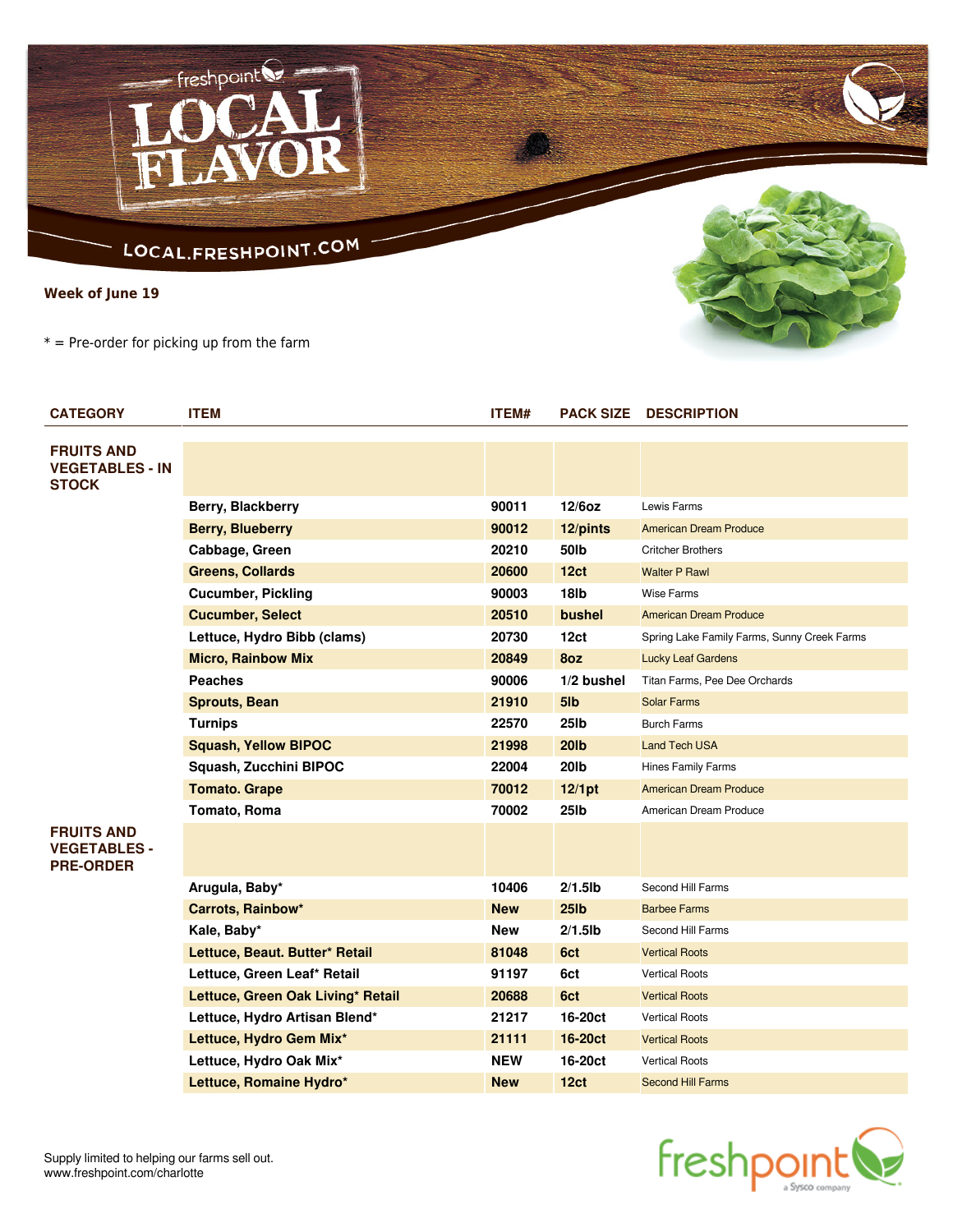## LOCAL.FRESHPOINT.COM

 $-$  freshpoint

**Week of June 19**

 $* =$  Pre-order for picking up from the farm

| <b>CATEGORY</b>                                              | <b>ITEM</b>                       | ITEM#      | <b>PACK SIZE</b> | <b>DESCRIPTION</b>                          |
|--------------------------------------------------------------|-----------------------------------|------------|------------------|---------------------------------------------|
| <b>FRUITS AND</b><br><b>VEGETABLES - IN</b><br><b>STOCK</b>  |                                   |            |                  |                                             |
|                                                              | Berry, Blackberry                 | 90011      | 12/6oz           | Lewis Farms                                 |
|                                                              | <b>Berry, Blueberry</b>           | 90012      | 12/pints         | <b>American Dream Produce</b>               |
|                                                              | Cabbage, Green                    | 20210      | 50lb             | <b>Critcher Brothers</b>                    |
|                                                              | <b>Greens, Collards</b>           | 20600      | 12 <sub>ct</sub> | <b>Walter P Rawl</b>                        |
|                                                              | <b>Cucumber, Pickling</b>         | 90003      | 18 <sub>lb</sub> | <b>Wise Farms</b>                           |
|                                                              | <b>Cucumber, Select</b>           | 20510      | bushel           | <b>American Dream Produce</b>               |
|                                                              | Lettuce, Hydro Bibb (clams)       | 20730      | 12ct             | Spring Lake Family Farms, Sunny Creek Farms |
|                                                              | <b>Micro, Rainbow Mix</b>         | 20849      | 8oz              | <b>Lucky Leaf Gardens</b>                   |
|                                                              | <b>Peaches</b>                    | 90006      | 1/2 bushel       | Titan Farms, Pee Dee Orchards               |
|                                                              | <b>Sprouts, Bean</b>              | 21910      | 5lb              | <b>Solar Farms</b>                          |
|                                                              | <b>Turnips</b>                    | 22570      | 25lb             | <b>Burch Farms</b>                          |
|                                                              | <b>Squash, Yellow BIPOC</b>       | 21998      | <b>20lb</b>      | <b>Land Tech USA</b>                        |
|                                                              | Squash, Zucchini BIPOC            | 22004      | <b>20lb</b>      | Hines Family Farms                          |
|                                                              | <b>Tomato. Grape</b>              | 70012      | 12/1pt           | <b>American Dream Produce</b>               |
|                                                              | Tomato, Roma                      | 70002      | 25lb             | American Dream Produce                      |
| <b>FRUITS AND</b><br><b>VEGETABLES -</b><br><b>PRE-ORDER</b> |                                   |            |                  |                                             |
|                                                              | Arugula, Baby*                    | 10406      | $2/1.5$ lb       | Second Hill Farms                           |
|                                                              | <b>Carrots, Rainbow*</b>          | <b>New</b> | 25 <sub>1b</sub> | <b>Barbee Farms</b>                         |
|                                                              | Kale, Baby*                       | New        | $2/1.5$ lb       | Second Hill Farms                           |
|                                                              | Lettuce, Beaut. Butter* Retail    | 81048      | 6ct              | <b>Vertical Roots</b>                       |
|                                                              | Lettuce, Green Leaf* Retail       | 91197      | 6ct              | <b>Vertical Roots</b>                       |
|                                                              | Lettuce, Green Oak Living* Retail | 20688      | 6ct              | <b>Vertical Roots</b>                       |
|                                                              | Lettuce, Hydro Artisan Blend*     | 21217      | 16-20ct          | <b>Vertical Roots</b>                       |
|                                                              | Lettuce, Hydro Gem Mix*           | 21111      | <b>16-20ct</b>   | <b>Vertical Roots</b>                       |
|                                                              | Lettuce, Hydro Oak Mix*           | <b>NEW</b> | 16-20ct          | <b>Vertical Roots</b>                       |
|                                                              | Lettuce, Romaine Hydro*           | <b>New</b> | 12ct             | <b>Second Hill Farms</b>                    |





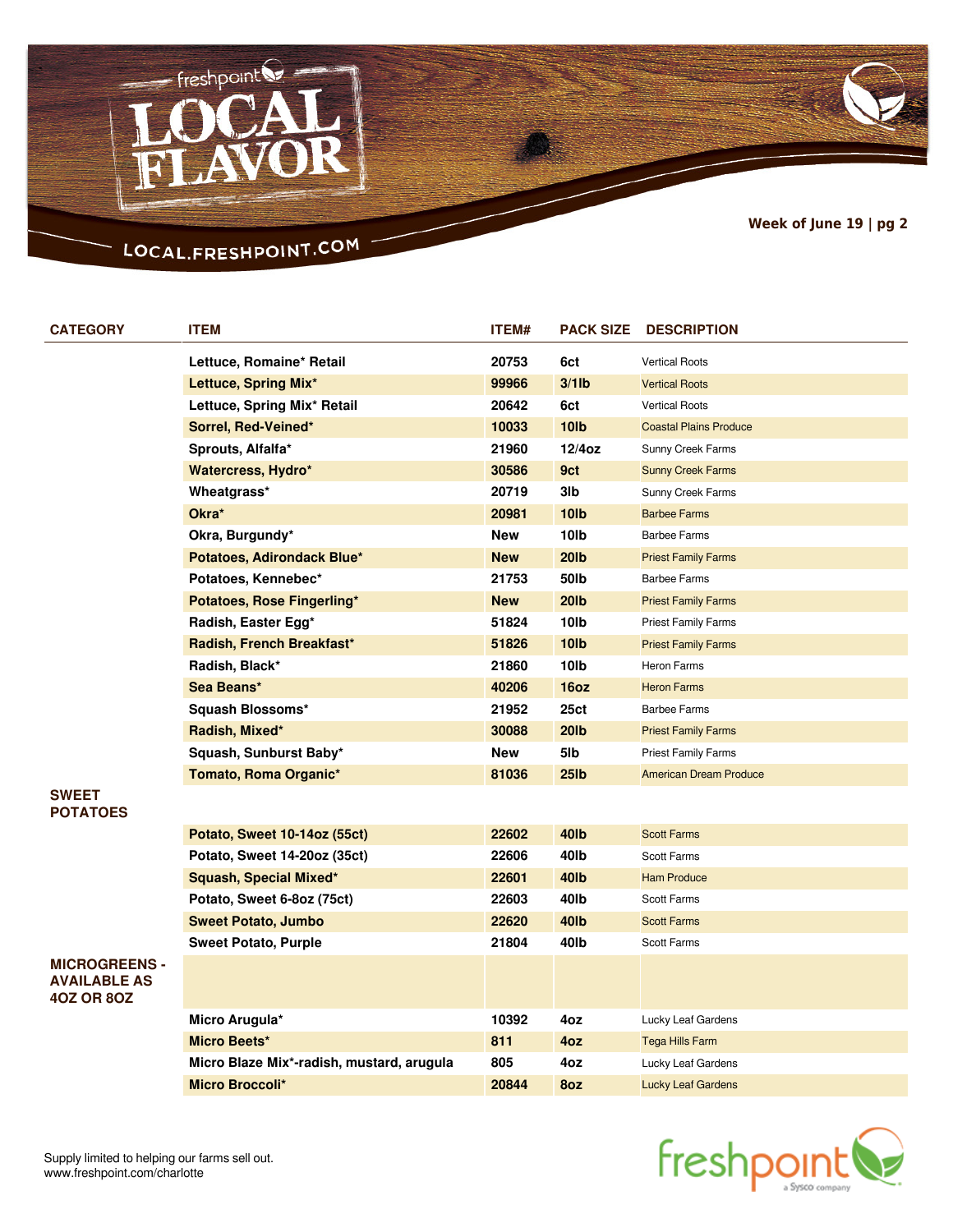

## LOCAL.FRESHPOINT.COM

| <b>CATEGORY</b>                 | <b>ITEM</b>                      | ITEM#        | <b>PACK SIZE</b>  | <b>DESCRIPTION</b>            |
|---------------------------------|----------------------------------|--------------|-------------------|-------------------------------|
|                                 | Lettuce, Romaine* Retail         | 20753        | 6ct               | <b>Vertical Roots</b>         |
|                                 | Lettuce, Spring Mix*             | 99966        | $3/1$ lb          | <b>Vertical Roots</b>         |
|                                 | Lettuce, Spring Mix* Retail      | 20642        | 6ct               | <b>Vertical Roots</b>         |
|                                 | Sorrel, Red-Veined*              | 10033        | <b>10lb</b>       | <b>Coastal Plains Produce</b> |
|                                 | Sprouts, Alfalfa*                | 21960        | $12/4$ oz         | Sunny Creek Farms             |
|                                 | Watercress, Hydro*               | 30586        | 9ct               | <b>Sunny Creek Farms</b>      |
|                                 | Wheatgrass*                      | 20719        | 3lb               | Sunny Creek Farms             |
|                                 | Okra*                            | 20981        | 10 <sub>1</sub>   | <b>Barbee Farms</b>           |
|                                 | Okra, Burgundy*                  | New          | 10lb              | <b>Barbee Farms</b>           |
|                                 | Potatoes, Adirondack Blue*       | <b>New</b>   | <b>20lb</b>       | <b>Priest Family Farms</b>    |
|                                 | Potatoes, Kennebec*              | 21753        | 50lb              | <b>Barbee Farms</b>           |
|                                 | Potatoes, Rose Fingerling*       | <b>New</b>   | <b>20lb</b>       | <b>Priest Family Farms</b>    |
|                                 | Radish, Easter Egg*              | 51824        | 10 <sub>lb</sub>  | <b>Priest Family Farms</b>    |
|                                 | Radish, French Breakfast*        | 51826        | <b>10lb</b>       | <b>Priest Family Farms</b>    |
|                                 | Radish, Black*                   | 21860        | 10 <sub>lb</sub>  | Heron Farms                   |
|                                 | Sea Beans*                       | 40206        | 16oz              | <b>Heron Farms</b>            |
|                                 | Squash Blossoms*                 | 21952        | 25ct              | <b>Barbee Farms</b>           |
|                                 | Radish, Mixed*                   | 30088        | <b>20lb</b>       | <b>Priest Family Farms</b>    |
|                                 | Squash, Sunburst Baby*           | New          | 5lb               | <b>Priest Family Farms</b>    |
|                                 | Tomato, Roma Organic*            | 81036        | 25 <sub>1</sub> b | <b>American Dream Produce</b> |
| <b>SWEET</b><br><b>POTATOES</b> |                                  |              |                   |                               |
|                                 | Potato, Sweet 10-14oz (55ct)     | 22602        | 40 <sub>Ib</sub>  | <b>Scott Farms</b>            |
|                                 | $Dation$ $C$ woot 14.2007 (250t) | <b>OOGOG</b> | 1016              | Coott Earms                   |

**MICROGREENS - AVAILABLE AS 4OZ OR 8OZ**

| Potato, Sweet 14-20oz (35ct)              | 22606 | 40 <sub>l</sub> b | Scott Farms               |  |
|-------------------------------------------|-------|-------------------|---------------------------|--|
| Squash, Special Mixed*                    | 22601 | 40 <sub>Ib</sub>  | <b>Ham Produce</b>        |  |
| Potato, Sweet 6-8oz (75ct)                | 22603 | 40lb              | Scott Farms               |  |
| <b>Sweet Potato, Jumbo</b><br>22620       |       | 40 <sub>Ib</sub>  | <b>Scott Farms</b>        |  |
| <b>Sweet Potato, Purple</b>               | 21804 | 40lb              | <b>Scott Farms</b>        |  |
|                                           |       |                   |                           |  |
| Micro Arugula*                            | 10392 | 4oz               | Lucky Leaf Gardens        |  |
| <b>Micro Beets*</b>                       | 811   | 40z               | <b>Tega Hills Farm</b>    |  |
| Micro Blaze Mix*-radish, mustard, arugula | 805   | 4oz               | Lucky Leaf Gardens        |  |
| <b>Micro Broccoli*</b>                    | 20844 | 8oz               | <b>Lucky Leaf Gardens</b> |  |

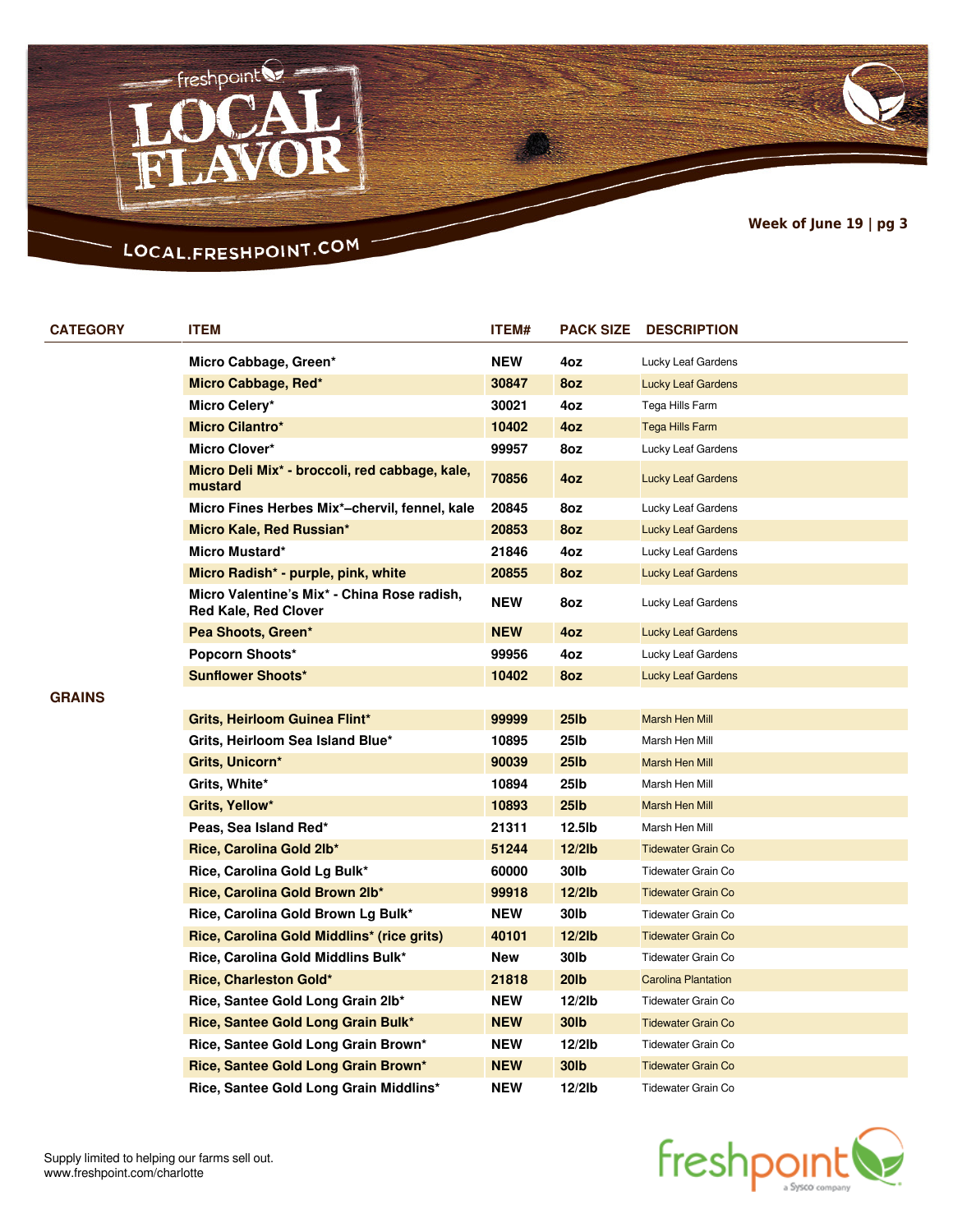

# LOCAL.FRESHPOINT.COM

| <b>CATEGORY</b> | <b>ITEM</b>                                                                            | ITEM#      | <b>PACK SIZE</b>  | <b>DESCRIPTION</b>         |
|-----------------|----------------------------------------------------------------------------------------|------------|-------------------|----------------------------|
|                 | Micro Cabbage, Green*                                                                  | <b>NEW</b> | 4oz               | Lucky Leaf Gardens         |
|                 | Micro Cabbage, Red*                                                                    | 30847      | 8oz               | <b>Lucky Leaf Gardens</b>  |
|                 | Micro Celery*                                                                          | 30021      | 4oz               | Tega Hills Farm            |
|                 | <b>Micro Cilantro*</b>                                                                 | 10402      | 4oz               | <b>Tega Hills Farm</b>     |
|                 | Micro Clover*                                                                          | 99957      | 8oz               | Lucky Leaf Gardens         |
|                 | Micro Deli Mix <sup>*</sup> - broccoli, red cabbage, kale,<br>mustard                  | 70856      | 4oz               | Lucky Leaf Gardens         |
|                 | Micro Fines Herbes Mix*-chervil, fennel, kale                                          | 20845      | 8oz               | Lucky Leaf Gardens         |
|                 | Micro Kale, Red Russian*                                                               | 20853      | 8oz               | <b>Lucky Leaf Gardens</b>  |
|                 | Micro Mustard*                                                                         | 21846      | 4oz               | Lucky Leaf Gardens         |
|                 | Micro Radish* - purple, pink, white                                                    | 20855      | 8oz               | <b>Lucky Leaf Gardens</b>  |
|                 | Micro Valentine's Mix <sup>*</sup> - China Rose radish,<br><b>Red Kale, Red Clover</b> | <b>NEW</b> | 8oz               | Lucky Leaf Gardens         |
|                 | Pea Shoots, Green*                                                                     | <b>NEW</b> | 4oz               | <b>Lucky Leaf Gardens</b>  |
|                 | <b>Popcorn Shoots*</b>                                                                 | 99956      | 4oz               | Lucky Leaf Gardens         |
|                 | <b>Sunflower Shoots*</b>                                                               | 10402      | 8oz               | <b>Lucky Leaf Gardens</b>  |
| <b>GRAINS</b>   |                                                                                        |            |                   |                            |
|                 | Grits, Heirloom Guinea Flint*                                                          | 99999      | 25 <sub>1</sub> b | <b>Marsh Hen Mill</b>      |
|                 | Grits, Heirloom Sea Island Blue*                                                       | 10895      | 25 <sub>lb</sub>  | Marsh Hen Mill             |
|                 | Grits, Unicorn*                                                                        | 90039      | 25 <sub>lb</sub>  | Marsh Hen Mill             |
|                 | Grits, White*                                                                          | 10894      | 25lb              | Marsh Hen Mill             |
|                 | Grits, Yellow*                                                                         | 10893      | 25 <sub>1</sub> b | <b>Marsh Hen Mill</b>      |
|                 | Peas, Sea Island Red*                                                                  | 21311      | 12.5lb            | Marsh Hen Mill             |
|                 | Rice, Carolina Gold 2lb*                                                               | 51244      | $12/2$ lb         | <b>Tidewater Grain Co</b>  |
|                 | Rice, Carolina Gold Lg Bulk*                                                           | 60000      | 30lb              | Tidewater Grain Co         |
|                 | Rice, Carolina Gold Brown 2lb*                                                         | 99918      | $12/2$ lb         | <b>Tidewater Grain Co</b>  |
|                 | Rice, Carolina Gold Brown Lg Bulk*                                                     | NEW        | 30lb              | Tidewater Grain Co         |
|                 | Rice, Carolina Gold Middlins* (rice grits)                                             | 40101      | $12/2$ lb         | <b>Tidewater Grain Co</b>  |
|                 | Rice, Carolina Gold Middlins Bulk*                                                     | New        | 30lb              | <b>Tidewater Grain Co</b>  |
|                 | Rice, Charleston Gold*                                                                 | 21818      | <b>20lb</b>       | <b>Carolina Plantation</b> |
|                 | Rice, Santee Gold Long Grain 2lb*                                                      | NEW        | $12/2$ lb         | <b>Tidewater Grain Co</b>  |
|                 | Rice, Santee Gold Long Grain Bulk*                                                     | <b>NEW</b> | 30 <sub>Ib</sub>  | <b>Tidewater Grain Co</b>  |
|                 | Rice, Santee Gold Long Grain Brown*                                                    | NEW        | $12/2$ lb         | Tidewater Grain Co         |
|                 | Rice, Santee Gold Long Grain Brown*                                                    | <b>NEW</b> | 30 <sub>1</sub> b | <b>Tidewater Grain Co</b>  |
|                 | Rice, Santee Gold Long Grain Middlins*                                                 | NEW        | $12/2$ lb         | Tidewater Grain Co         |

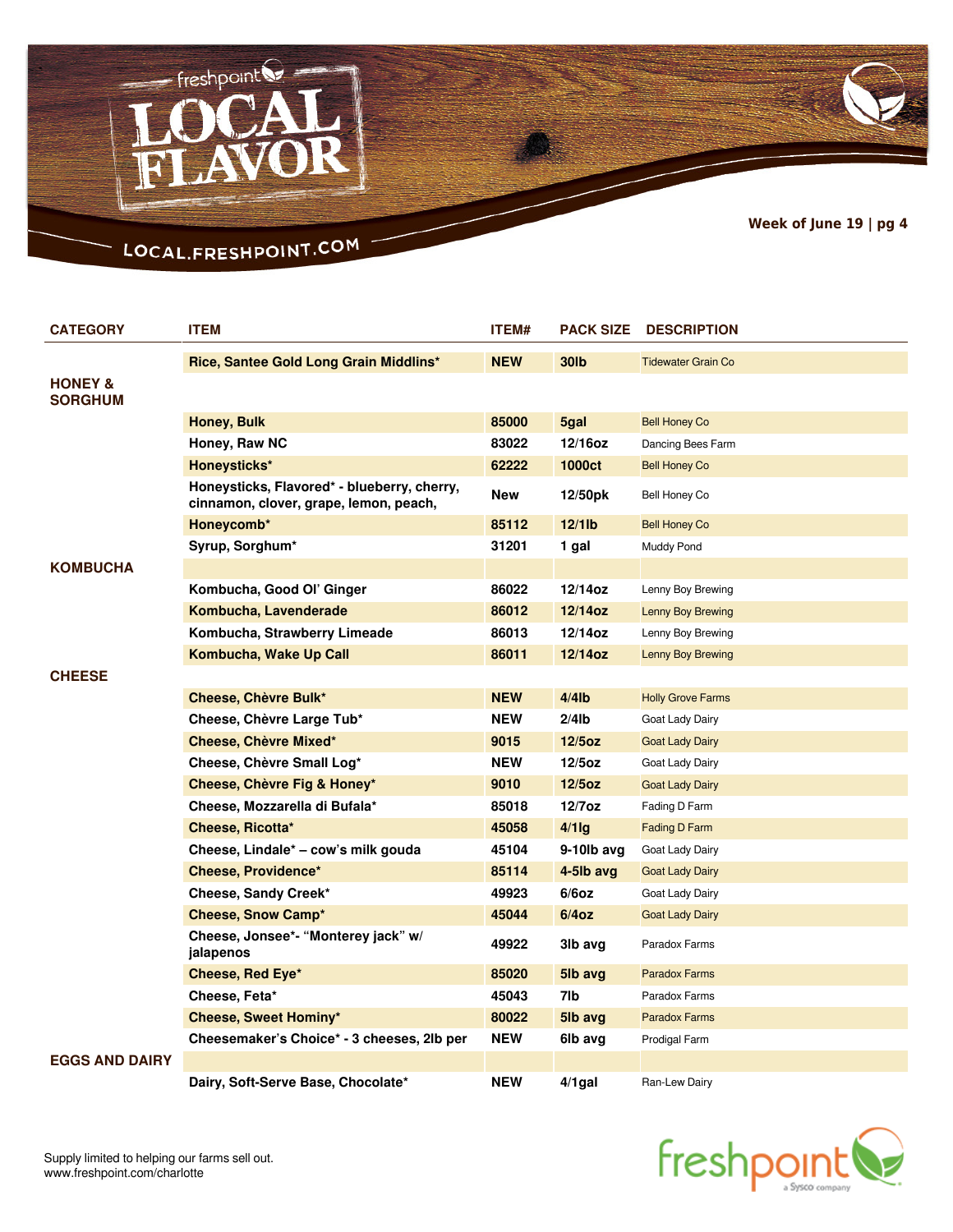

## LOCAL.FRESHPOINT.COM

 $-$  freshpoint

| <b>CATEGORY</b>                      | <b>ITEM</b>                                                                           | ITEM#      | <b>PACK SIZE</b> | <b>DESCRIPTION</b>        |
|--------------------------------------|---------------------------------------------------------------------------------------|------------|------------------|---------------------------|
|                                      | Rice, Santee Gold Long Grain Middlins*                                                | <b>NEW</b> | <b>30lb</b>      | <b>Tidewater Grain Co</b> |
| <b>HONEY &amp;</b><br><b>SORGHUM</b> |                                                                                       |            |                  |                           |
|                                      | Honey, Bulk                                                                           | 85000      | 5gal             | <b>Bell Honey Co</b>      |
|                                      | Honey, Raw NC                                                                         | 83022      | 12/16oz          | Dancing Bees Farm         |
|                                      | Honeysticks*                                                                          | 62222      | <b>1000ct</b>    | <b>Bell Honey Co</b>      |
|                                      | Honeysticks, Flavored* - blueberry, cherry,<br>cinnamon, clover, grape, lemon, peach, | <b>New</b> | 12/50pk          | <b>Bell Honey Co</b>      |
|                                      | Honeycomb*                                                                            | 85112      | $12/1$ lb        | <b>Bell Honey Co</b>      |
|                                      | Syrup, Sorghum*                                                                       | 31201      | 1 gal            | Muddy Pond                |
| <b>KOMBUCHA</b>                      |                                                                                       |            |                  |                           |
|                                      | Kombucha, Good Ol' Ginger                                                             | 86022      | 12/14oz          | Lenny Boy Brewing         |
|                                      | Kombucha, Lavenderade                                                                 | 86012      | 12/14oz          | <b>Lenny Boy Brewing</b>  |
|                                      | Kombucha, Strawberry Limeade                                                          | 86013      | 12/14oz          | Lenny Boy Brewing         |
|                                      | Kombucha, Wake Up Call                                                                | 86011      | $12/14$ oz       | <b>Lenny Boy Brewing</b>  |
| <b>CHEESE</b>                        |                                                                                       |            |                  |                           |
|                                      | Cheese, Chèvre Bulk*                                                                  | <b>NEW</b> | $4/4$ lb         | <b>Holly Grove Farms</b>  |
|                                      | Cheese, Chèvre Large Tub*                                                             | NEW        | $2/4$ lb         | Goat Lady Dairy           |
|                                      | Cheese, Chèvre Mixed*                                                                 | 9015       | $12/5$ oz        | <b>Goat Lady Dairy</b>    |
|                                      | Cheese, Chèvre Small Log*                                                             | <b>NEW</b> | $12/5$ oz        | Goat Lady Dairy           |
|                                      | Cheese, Chèvre Fig & Honey*                                                           | 9010       | $12/5$ oz        | <b>Goat Lady Dairy</b>    |
|                                      | Cheese, Mozzarella di Bufala*                                                         | 85018      | $12/7$ oz        | Fading D Farm             |
|                                      | Cheese, Ricotta*                                                                      | 45058      | $4/1$ lg         | <b>Fading D Farm</b>      |
|                                      | Cheese, Lindale* – cow's milk gouda                                                   | 45104      | 9-10lb avg       | Goat Lady Dairy           |
|                                      | <b>Cheese, Providence*</b>                                                            | 85114      | 4-5lb avg        | <b>Goat Lady Dairy</b>    |
|                                      | Cheese, Sandy Creek*                                                                  | 49923      | $6/6$ oz         | Goat Lady Dairy           |
|                                      | <b>Cheese, Snow Camp*</b>                                                             | 45044      | 6/4oz            | <b>Goat Lady Dairy</b>    |
|                                      | Cheese, Jonsee*- "Monterey jack" w/<br>jalapenos                                      | 49922      | 3lb avg          | Paradox Farms             |
|                                      | Cheese, Red Eye*                                                                      | 85020      | 5lb avg          | <b>Paradox Farms</b>      |
|                                      | Cheese, Feta*                                                                         | 45043      | 7lb              | Paradox Farms             |
|                                      | Cheese, Sweet Hominy*                                                                 | 80022      | 5lb avg          | <b>Paradox Farms</b>      |
|                                      | Cheesemaker's Choice* - 3 cheeses, 2lb per                                            | <b>NEW</b> | 6lb avg          | Prodigal Farm             |
| <b>EGGS AND DAIRY</b>                |                                                                                       |            |                  |                           |
|                                      | Dairy, Soft-Serve Base, Chocolate*                                                    | NEW        | 4/1gal           | Ran-Lew Dairy             |

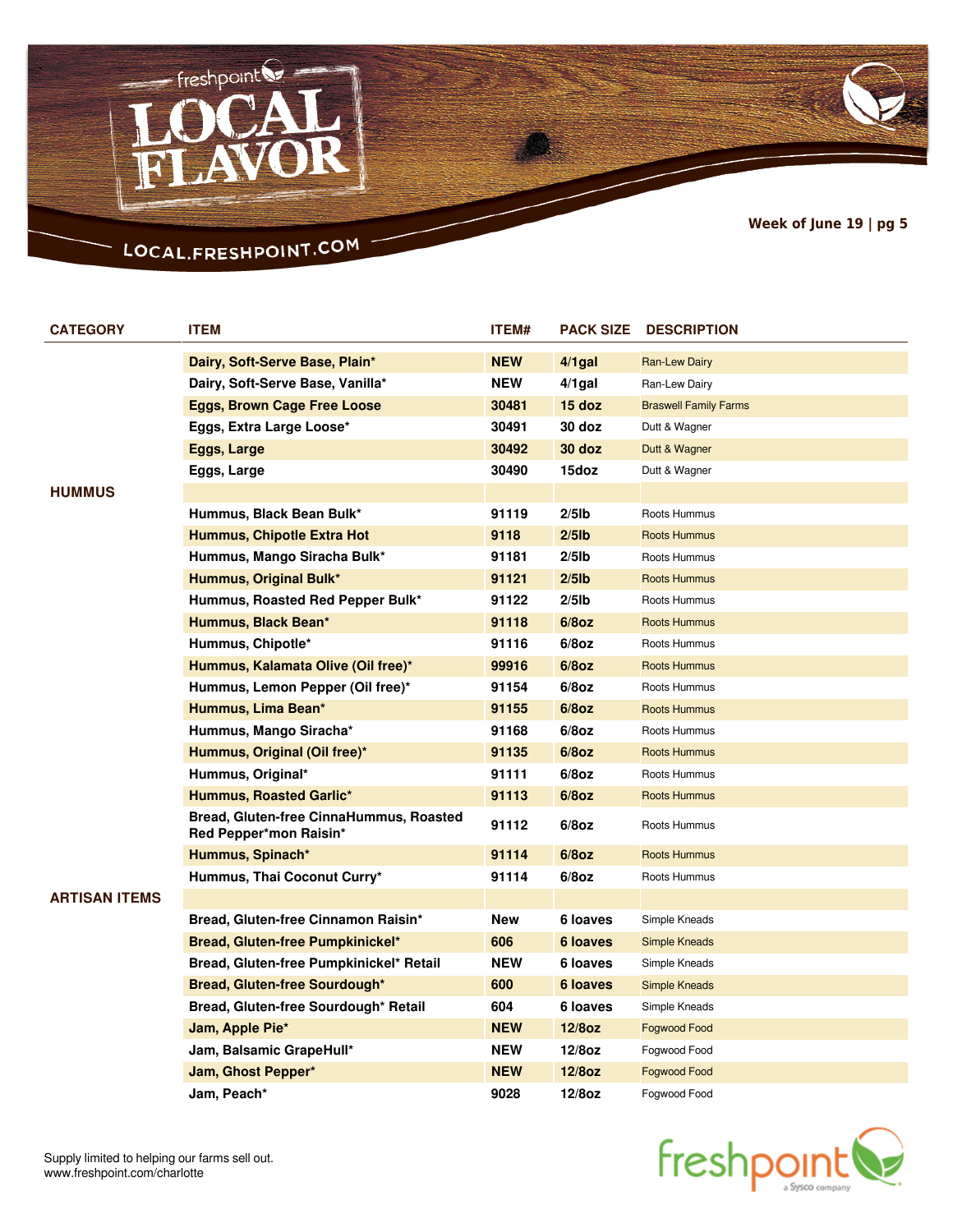

# LOCAL.FRESHPOINT.COM

| <b>CATEGORY</b> | <b>ITEM</b>                                                       | <b>ITEM#</b> | <b>PACK SIZE</b> | <b>DESCRIPTION</b>           |
|-----------------|-------------------------------------------------------------------|--------------|------------------|------------------------------|
|                 | Dairy, Soft-Serve Base, Plain*                                    | <b>NEW</b>   | $4/1$ gal        | Ran-Lew Dairy                |
|                 | Dairy, Soft-Serve Base, Vanilla*                                  | <b>NEW</b>   | $4/1$ gal        | Ran-Lew Dairy                |
|                 | <b>Eggs, Brown Cage Free Loose</b>                                | 30481        | 15 doz           | <b>Braswell Family Farms</b> |
|                 | Eggs, Extra Large Loose*                                          | 30491        | 30 doz           | Dutt & Wagner                |
|                 | Eggs, Large                                                       | 30492        | 30 doz           | Dutt & Wagner                |
|                 | Eggs, Large                                                       | 30490        | 15doz            | Dutt & Wagner                |
| <b>HUMMUS</b>   |                                                                   |              |                  |                              |
|                 | Hummus, Black Bean Bulk*                                          | 91119        | $2/5$ lb         | Roots Hummus                 |
|                 | Hummus, Chipotle Extra Hot                                        | 9118         | $2/5$ lb         | <b>Roots Hummus</b>          |
|                 | Hummus, Mango Siracha Bulk*                                       | 91181        | $2/5$ lb         | Roots Hummus                 |
|                 | Hummus, Original Bulk*                                            | 91121        | $2/5$ lb         | <b>Roots Hummus</b>          |
|                 | Hummus, Roasted Red Pepper Bulk*                                  | 91122        | $2/5$ lb         | Roots Hummus                 |
|                 | Hummus, Black Bean*                                               | 91118        | $6/8$ oz         | Roots Hummus                 |
|                 | Hummus, Chipotle*                                                 | 91116        | $6/8$ oz         | Roots Hummus                 |
|                 | Hummus, Kalamata Olive (Oil free)*                                | 99916        | $6/8$ oz         | Roots Hummus                 |
|                 | Hummus, Lemon Pepper (Oil free)*                                  | 91154        | $6/8$ oz         | Roots Hummus                 |
|                 | Hummus, Lima Bean*                                                | 91155        | $6/8$ oz         | Roots Hummus                 |
|                 | Hummus, Mango Siracha*                                            | 91168        | $6/8$ oz         | Roots Hummus                 |
|                 | Hummus, Original (Oil free)*                                      | 91135        | $6/8$ oz         | <b>Roots Hummus</b>          |
|                 | Hummus, Original*                                                 | 91111        | $6/8$ oz         | Roots Hummus                 |
|                 | <b>Hummus, Roasted Garlic*</b>                                    | 91113        | $6/8$ oz         | <b>Roots Hummus</b>          |
|                 | Bread, Gluten-free CinnaHummus, Roasted<br>Red Pepper*mon Raisin* | 91112        | $6/8$ oz         | Roots Hummus                 |
|                 | Hummus, Spinach*                                                  | 91114        | $6/8$ oz         | <b>Roots Hummus</b>          |
|                 | Hummus, Thai Coconut Curry*                                       | 91114        | $6/8$ oz         | Roots Hummus                 |
| ARTISAN ITEMS   |                                                                   |              |                  |                              |
|                 | Bread, Gluten-free Cinnamon Raisin*                               | New          | 6 loaves         | Simple Kneads                |
|                 | Bread, Gluten-free Pumpkinickel*                                  | 606          | 6 loaves         | <b>Simple Kneads</b>         |
|                 | Bread, Gluten-free Pumpkinickel* Retail                           | <b>NEW</b>   | 6 loaves         | Simple Kneads                |
|                 | Bread, Gluten-free Sourdough*                                     | 600          | 6 loaves         | <b>Simple Kneads</b>         |
|                 | Bread, Gluten-free Sourdough* Retail                              | 604          | 6 loaves         | Simple Kneads                |
|                 | Jam, Apple Pie*                                                   | <b>NEW</b>   | $12/8$ oz        | Fogwood Food                 |
|                 | Jam, Balsamic GrapeHull*                                          | <b>NEW</b>   | $12/8$ oz        | Fogwood Food                 |
|                 | Jam, Ghost Pepper*                                                | <b>NEW</b>   | $12/8$ oz        | Fogwood Food                 |
|                 | Jam, Peach*                                                       | 9028         | $12/8$ oz        | Fogwood Food                 |